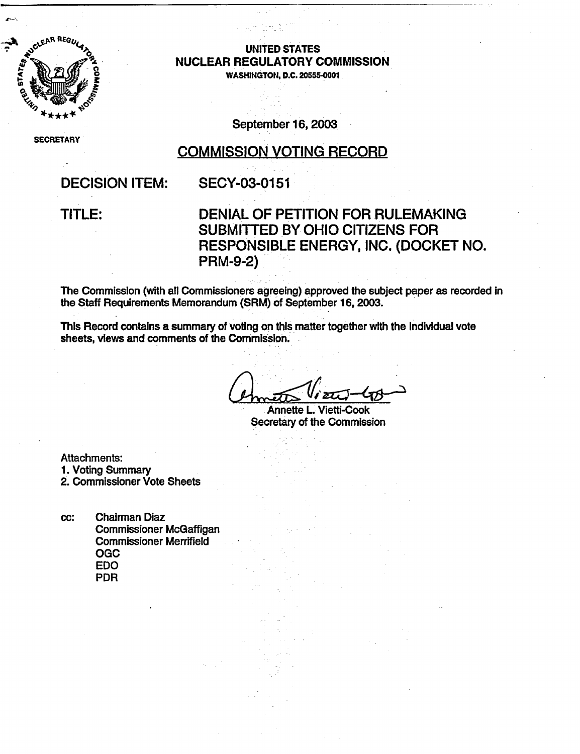

# so AO,-UNITED **STATES** A NUCLEAR REGULATORY COMMISSION

WASHINGTON, D.C. **20555-0001**

SECRETARY

September 16, 2003

### COMMISSION VOTING RECORD

### DECISION ITEM: SECY-03-0151

### TITLE: DENIAL OF PETITION FOR RULEMAKING SUBMITTED BY OHIO CITIZENS FOR RESPONSIBLE ENERGY, INC. (DOCKET NO. PRM-9-2)

The Commission (with all Commissioners agreeing) approved the subject paper as recorded in the Staff Requirements Memorandum (SRM) of September 16, 2003.

This Record contains a summary of voting on this matter together with the individual vote sheets, views and comments of the Commission.

Annette L. Vietti-Cook Secretary of the Commission

Attachments: 1. Voting Summary 2. Commissioner Vote Sheets

cc: Chairman Diaz Commissioner McGaffigan Commissioner Merrifield OGC EDO PDR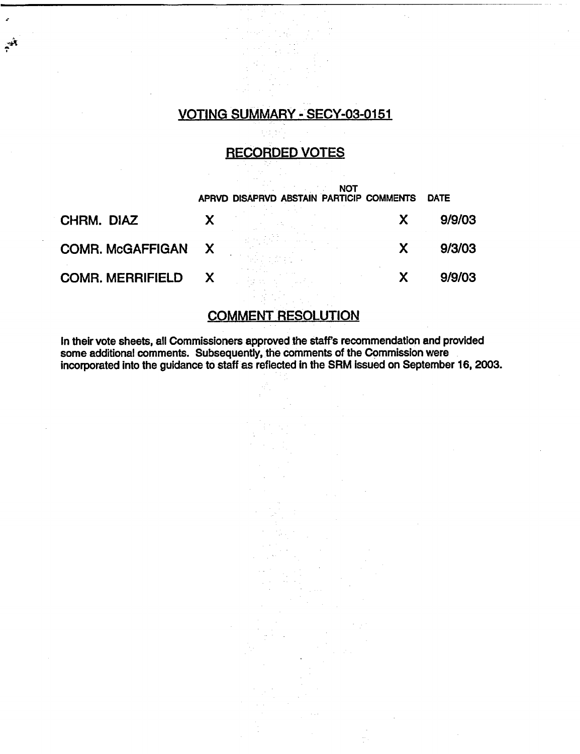### VOTING SUMMARY - SECY-03-0151

्रमे

### RECORDED VOTES

|                         |                           | NOT<br>APRVD DISAPRVD ABSTAIN PARTICIP COMMENTS | <b>DATE</b> |
|-------------------------|---------------------------|-------------------------------------------------|-------------|
| CHRM. DIAZ              |                           |                                                 | 9/9/03      |
| <b>COMR. McGAFFIGAN</b> | X                         |                                                 | 9/3/03      |
| <b>COMR. MERRIFIELD</b> | $\boldsymbol{\mathsf{X}}$ |                                                 | 9/9/03      |

### COMMENT RESOLUTION

In their vote sheets, all Commissioners approved the staffs recommendation and provided some additional comments. Subsequently, the comments of the Commission were incorporated into the guidance to staff as reflected in the SRM issued on September 16, 2003.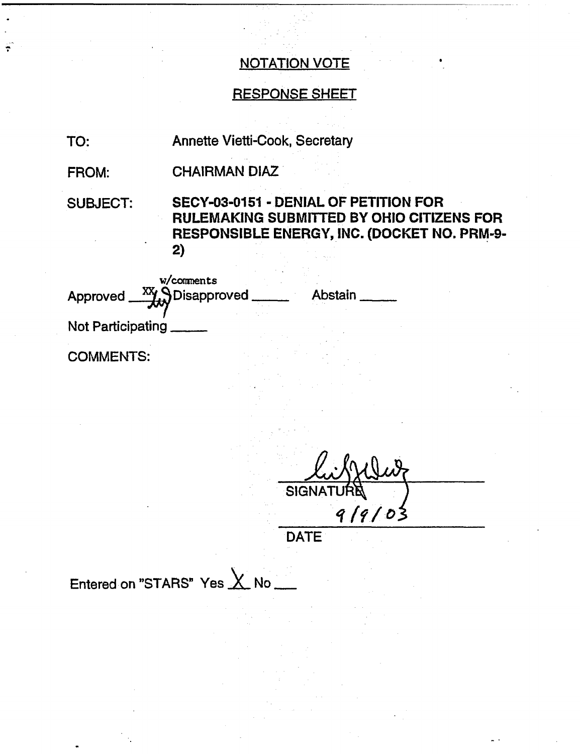## NOTATION VOTE

### RESPONSE SHEET

TO: Annette Vietti-Cook, Secretary

FROM: CHAIRMAN DIAZ

SUBJECT: SECY-03-0151 - DENIAL OF PETITION FOR RULEMAKING SUBMITTED BY OHIO CITIZENS FOR RESPONSIBLE ENERGY, INC. (DOCKET NO. PRM-9- 2)

| w/comments<br>$\frac{XX}{XX}$ Disapproved<br>Approved | Abstain |
|-------------------------------------------------------|---------|
| Not Participating                                     |         |
| <b>COMMENTS:</b>                                      |         |

**SIGN** *Tq I f* /

DATE

Entered on "STARS" Yes  $\times$  No  $-$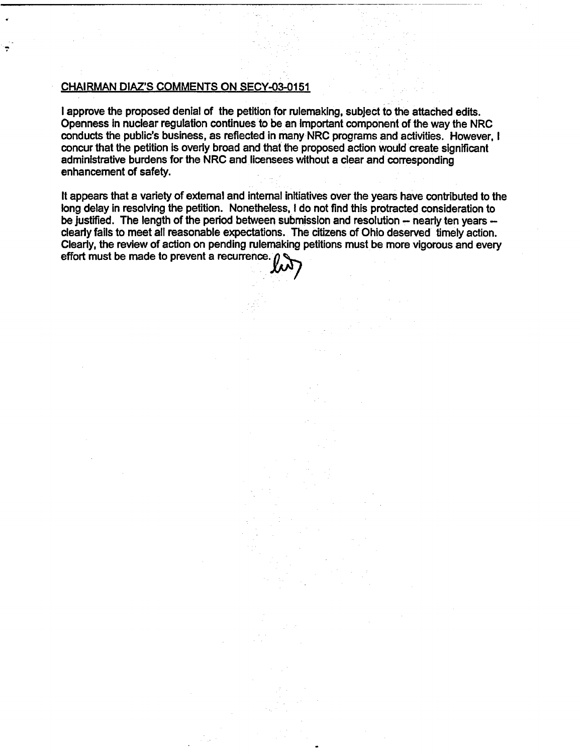#### CHAIRMAN DIAZ'S COMMENTS ON SECY-03-0151

I approve the proposed denial of the petition for rulemaking, subject to the attached edits. Openness in nuclear regulation continues to be an Important component of the way the NRC conducts the public's business, as reflected in many NRC programs and activities. However, I concur that the petition is overly broad and that the proposed action would create significant administrative burdens for the NRC and licensees without a clear and corresponding enhancement of safety.

It appears that a variety of external and internal initiatives over the years have contributed to the long delay in resolving the petition. Nonetheless, I do not find this protracted consideration to be justified. The length of the period between submission and resolution - nearly ten years clearly fails to meet all reasonable expectations. The citizens of Ohio deserved timely action. Clearly, the review of action on pending rulemaking petitions must be more vigorous and every effort must be made to prevent a recurrence.  $\rho$ 

 $\sim$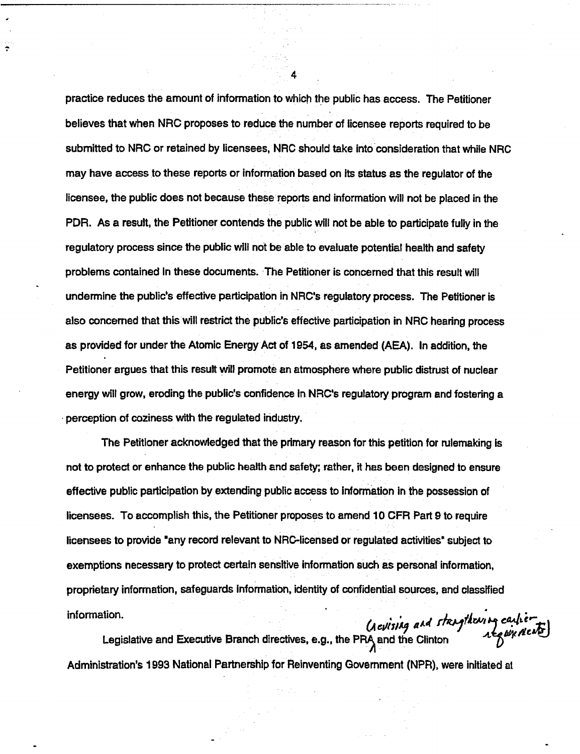practice reduces the amount of information to which the public has access. The Petitioner believes that when NRC proposes to reduce the number of licensee reports required to be submitted to NRC or retained by licensees, NRC should take into consideration that while NRC may have access to these reports or information based on its status as the regulator of the licensee, the public does not because these reports and information will not be placed in the PDR. As a result, the Petitioner contends the public will not be able to participate fully in the regulatory process since the public will not be able to evaluate potential health and safety problems contained In these documents. The Petitioner is concerned that this result will undermine the public's effective participation in NRC's regulatory process. The Petitioner is also concerned that this will restrict the public's effective participation in NRC hearing process as provided for under the Atomic Energy Act of 1954, as amended (AEA). In addition, the Petitioner argues that this result will promote an atmosphere where public distrust of nuclear energy will grow, eroding the public's confidence In NRC's regulatory program and fostering a perception of coziness with the regulated industry.

The Petitioner acknowledged that the primary reason for this petition for rulemaking is not to protect or enhance the public health and safety; rather, it has been designed to ensure effective public participation by extending public access to information in the possession of licensees. To accomplish this, the Petitioner proposes to amend 10 CFR Part 9 to require licensees to provide "any record relevant to NRC-licensed or regulated activities" subject to exemptions necessary to protect certain sensitive information such as personal information, proprietary information, safeguards Information, identity of confidential sources, and classified  $\blacksquare$ information. *(A culsing and streaguest cultive deal* 

Legislative and Executive Branch directives, e.g., the PRA and the Clinton Administration's 1993 National Partnership for Reinventing Government (NPR), were initiated at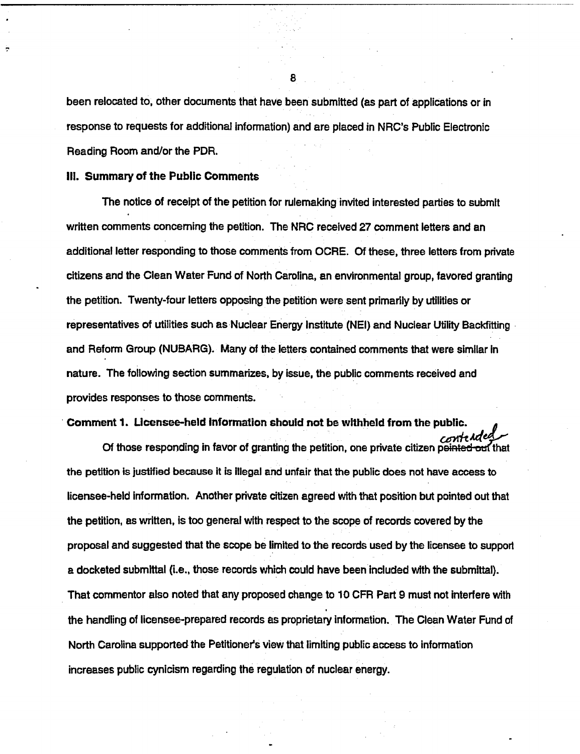been relocated to, other documents that have been submitted (as part of applications or in response to requests for additional information) and are placed in NRC's Public Electronic Reading Room and/or the PDR.

#### Ill. Summary of the Public Comments

The notice of receipt of the petition for rulemaking invited interested parties to submit written comments concerning the petition. The NRC received 27 comment letters and an additional letter responding to those comments from OCRE. Of these, three letters from private citizens and the Clean Water Fund of North Carolina, an environmental group, favored granting the petition. Twenty-four letters opposing the petition were sent primarily by utilities or representatives of utilities such as Nuclear Energy Institute (NEI) and Nuclear Utility Backfitting and Reform Group (NUBARG). Many of the letters contained comments that were similar in nature. The following section summarizes, by issue, the public comments received and provides responses to those comments.

#### Comment 1. Licensee-held Information should not be withheld from the public.

Of those responding in favor of granting the petition, one private citizen peinted out that the petition is justified because it is Illegal and unfair that the public does not have access to licensee-held Information. Another private citizen agreed with that position but pointed out that the petition, as written, is too general with respect to the scope of records covered by the proposal and suggested that the scope be limited to the records used by the licensee to support a docketed submittal (i.e., those records which could have been Included with the submittal). That commentor also noted that any proposed change to 10 CFR Part 9 must not interfere with the handling of licensee-prepared records as proprietary Information. The Clean Water Fund of North Carolina supported the Petitioner's view that limiting public access to information increases public cynicism regarding the regulation of nuclear energy.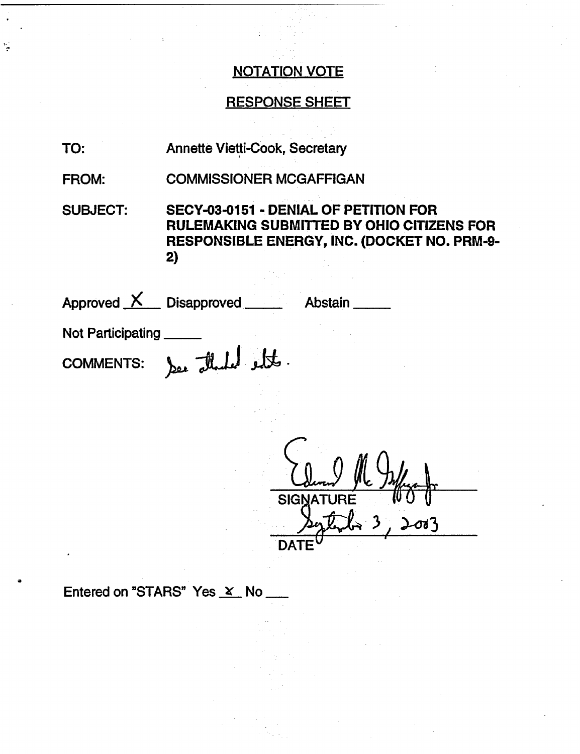### NOTATION VOTE

### RESPONSE SHEET

- TO: Annette Vietti-Cook, Secretary
- FROM: COMMISSIONER MCGAFFIGAN

SUBJECT: SECY-03-0151 - DENIAL OF PETITION FOR RULEMAKING SUBMITTED BY OHIO CITIZENS FOR RESPONSIBLE ENERGY, INC. (DOCKET NO. PRM-9- 2)

| Approved $X$ Disapproved _____ |                   | Abstain |  |
|--------------------------------|-------------------|---------|--|
| <b>Not Participating</b>       |                   |         |  |
| <b>COMMENTS:</b>               | See the help ett. |         |  |
|                                |                   |         |  |
|                                |                   |         |  |

Column MC od3 DAT

Entered on "STARS" Yes X No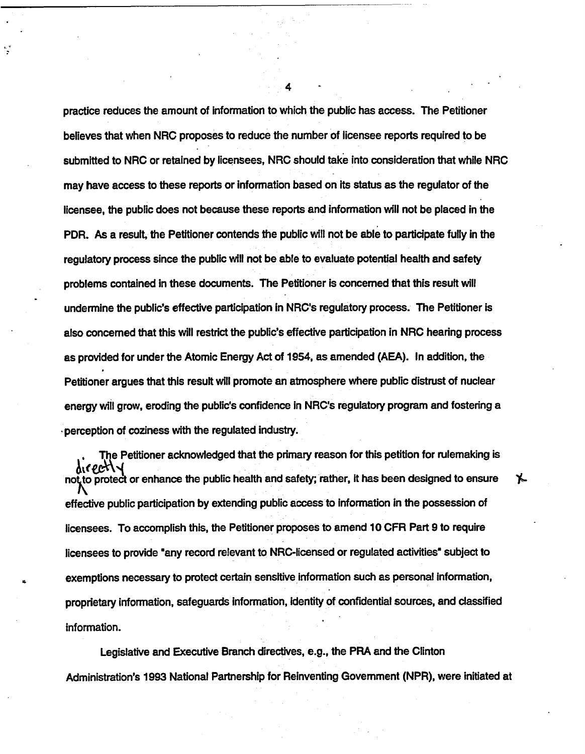practice reduces the amount of information to which the public has access. The Petitioner believes that when NRC proposes to reduce the number of licensee reports required to be submitted to NRC or retained by licensees, NRC should take into consideration that while NRC may have access to these reports or information based on Its status as the regulator of the licensee, the public does not because these reports and information will not be placed in the PDR. As a result, the Petitioner contends the public will not be able to participate fully in the regulatory process since the public will not be able to evaluate potential health and safety problems contained in these documents. The Petitioner is concerned that this result will undermine the public's effective participation in NRC's regulatory process. The Petitioner is also concerned that this will restrict the public's effective participation in NRC hearing process as provided for under the Atomic Energy Act of 1954, as amended (AEA). In addition, the Petitioner argues that this result will promote an atmosphere where public distrust of nuclear energy will grow, eroding the public's confidence in NRC's regulatory program and fostering a perception of coziness with the regulated industry.

The Petitioner acknowledged that the primary reason for this petition for rulemaking is not to protect or enhance the public health and safety; rather, it has been designed to ensure effective public participation by extending public access to Information in the possession of licensees. To accomplish this, the Petitioner proposes to amend 10 CFR Part 9 to require licensees to provide "any record relevant to NRC-licensed or regulated activities" subject to exemptions necessary to protect certain sensitive information such as personal information, proprietary information, safeguards information, Identity of confidential sources, and classified information.

Х.

Legislative and Executive Branch directives, e.g., the PRA and the Clinton Administration's 1993 National Partnership for Reinventing Government (NPR), were initiated at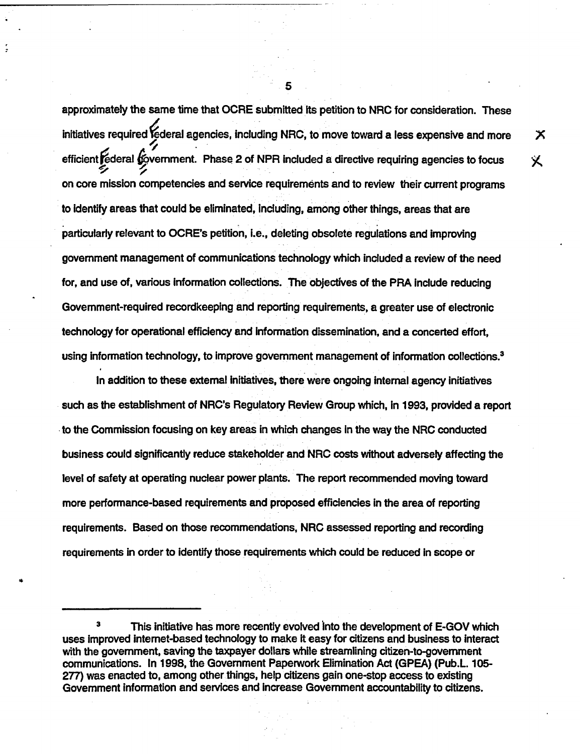approximately the same time that OCRE submitted Its petition to NRC for consideration. These initiatives required federal agencies, including NRC, to move toward a less expensive and more efficient rederal government. Phase 2 of NPR included a directive requiring agencies to focus on core mission competencies and service requirements and to review their current programs to identify areas that could be eliminated, including, among other things, areas that are particularly relevant to OCRE's petition, i.e., deleting obsolete regulations and improving government management of communications technology which included a review of the need for, and use of, various Information collections. The objectives of the PRA include reducing Government-required recordkeeping and reporting requirements, a greater use of electronic technology for operational efficiency and Information dissemination, and a concerted effort, using information technology, to improve government management of information collections.<sup>3</sup>

In addition to these external initiatives, there were ongoing Internal agency initiatives such as the establishment of NRC's Regulatory Review Group which, In 1993, provided a report to the Commission focusing on key areas in which changes In the way the NRC conducted business could significantly reduce stakeholder and NRC costs without adversely affecting the level of safety at operating nuclear power plants. The report recommended moving toward more performance-based requirements and proposed efficiencies in the area of reporting requirements. Based on those recommendations, NRC assessed reporting and recording requirements in order to Identify those requirements which could be reduced in scope or

5

Х

义

This initiative has more recently evolved into the development of E-GOV which uses Improved intemet-based technology to make it easy for citizens and business to interact with the government, saving the taxpayer dollars while streamlining citizen-to-government communications. In 1998, the Government Paperwork Elimination Act (GPEA) (Pub.L. 105- 277) was enacted to, among other things, help citizens gain one-stop access to existing Government information and services and increase Government accountability to citizens.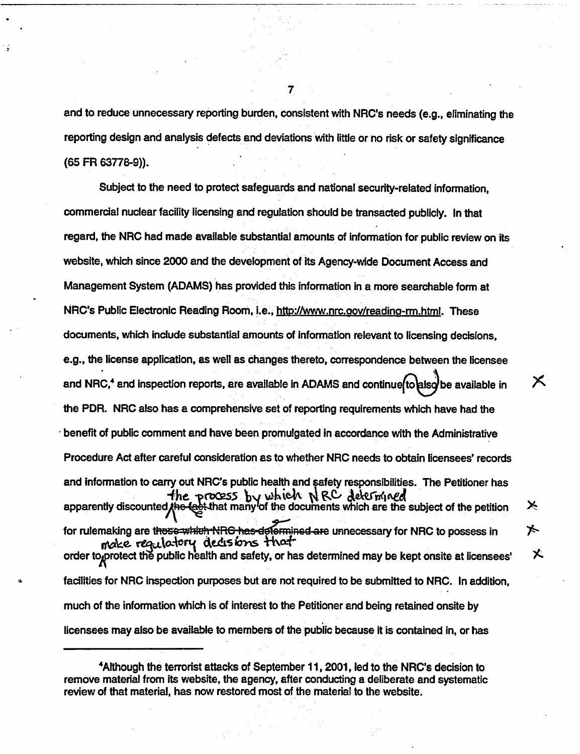and to reduce unnecessary reporting burden, consistent with NRC's needs (e.g., eliminating the reporting design and analysis defects and deviations with little or no risk or safety significance (65 FR 63778-9)).

Subject to the need to protect safeguards and national security-related information, commercial nuclear facility licensing and regulation should be transacted publicly. In that regard, the NRC had made available substantial amounts of information for public review on its website, which since 2000 and the development of its Agency-wide Document Access and Management System (ADAMS) has provided this information in a more searchable form at NRC's Public Electronic Reading Room, i.e., http://www.nrc.gov/reading-rm.html. These documents, which include substantial amounts of information relevant to licensing decisions, e.g., the license application, as well as changes thereto, correspondence between the licensee  $\boldsymbol{\times}$ and NRC,<sup>4</sup> and inspection reports, are available in ADAMS and continue to also be available in the PDR. NRC also has a comprehensive set of reporting requirements which have had the benefit of public comment and have been promulgated in accordance with the Administrative Procedure Act after careful consideration as to whether NRC needs to obtain licensees' records and information to carry out NRC's public health and safety responsibilities. The Petitioner has and information to carry out three plants nearly and safety responsibilities. The Feutoner has<br>  $-$  **the process** by which NRC decemberated ⊁ for rulemaking are these which NRG has determined are unnecessary for NRC to possess in ★ make requistory decisions that order to protect the public health and safety, or has determined may be kept onsite at licensees' facilities for NRC inspection purposes but are not required to be submitted to NRC. In addition, much of the information which is of interest to the Petitioner and being retained onsite by licensees may also be available to members of the public because it is contained in, or has

乂

<sup>4</sup>Although the terrorist attacks of September 11, 2001, led to the NRC's decision to remove material from its website, the agency, after conducting a deliberate and systematic review of that material, has now restored most of the material to the website.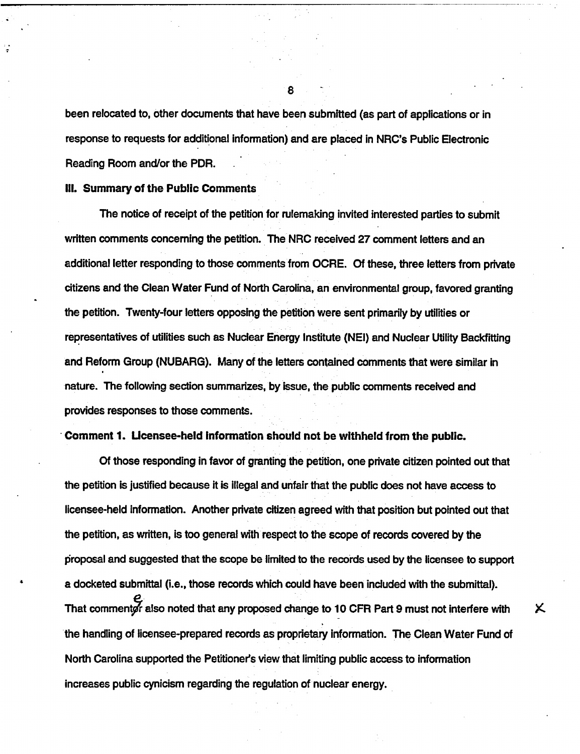been relocated to, other documents that have been submitted (as part of applications or in response to requests for additional information) and are placed in NRC's Public Electronic Reading Room and/or the PDR.

#### Ill. Summary of the Public Comments

The notice of receipt of the petition for rulemaking invited interested parties to submit written comments concerning the petition. The NRC received 27 comment letters and an additional letter responding to those comments from OCRE. Of these, three letters from private citizens and the Clean Water Fund of North Carolina, an environmental group, favored granting the petition. Twenty-four letters opposing the petition were sent primarily by utilities or representatives of utilities such as Nuclear Energy Institute (NEI) and Nuclear Utility Backfitting and Reform Group (NUBARG). Many of the letters contained comments that were similar in nature. The following section summarizes, by issue, the public comments received and provides responses to those comments.

#### Comment 1. Ucensee-held Information should not be withheld from the public.

Of those responding in favor of granting the petition, one private citizen pointed out that the petition is justified because it is illegal and unfair that the public does not have access to licensee-held information. Another private citizen agreed with that position but pointed out that the petition, as written, is too general with respect to the scope of records covered by the proposal and suggested that the scope be limited to the records used by the licensee to support a docketed submittal (i.e., those records which could have been included with the submittal). That commentor also noted that any proposed change to 10 CFR Part 9 must not interfere with the handling of licensee-prepared records as proprietary information. The Clean Water Fund of North Carolina supported the Petitioner's view that limiting public access to information increases public cynicism regarding the regulation of nuclear energy.

Χ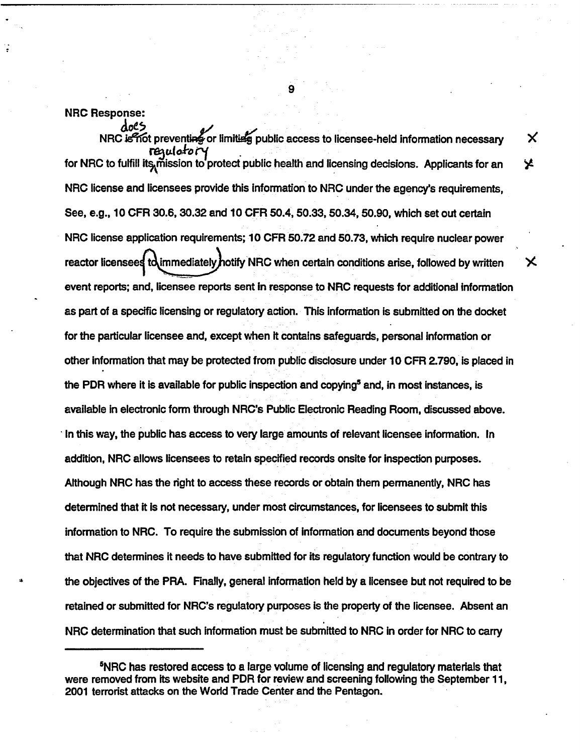NRC Response:

does

NRC is not preventi<del>ng</del> or limiting public access to licensee-held information necessary<br>requi*er* of for NRC to fulfill its, mission to protect public health and licensing decisions. Applicants for an NRC license and licensees provide this information to NRC under the agency's requirements, See, e.g., 10 CFR 30.6, 30.32 and 10 CFR 50.4, 50.33, 50.34, 50.90, which set out certain NRC license application requirements; 10 CFR 50.72 and 50.73, which require nuclear power reactor licensees  $\mathbf t$  dimmediately hotify NRC when certain conditions arise, followed by written event reports; and, licensee reports sent in response to NRC requests for additional information as part of a specific licensing or regulatory action. This information is submitted on the docket for the particular licensee and, except when It contains safeguards, personal information or other information that may be protected from public disclosure under 10 CFR 2.790, is placed in the PDR where it is available for public inspection and copying<sup>5</sup> and, in most instances, is available in electronic form through NRC's Public Electronic Reading Room, discussed above. In this way, the public has access to very large amounts of relevant licensee information. In addition, NRC allows licensees to retain specified records onsite for inspection purposes. Although NRC has the right to access these records or obtain them permanently, NRC has determined that it Is not necessary, under most circumstances, for licensees to submit this information to NRC. To require the submission of information and documents beyond those that NRC determines it needs to have submitted for its regulatory function would be contrary to the objectives of the PRA. Finally, general information held by a licensee but not required to be retained or submitted for NRC's regulatory purposes Is the property of the licensee. Absent an NRC determination that such information must be submitted to NRC in order for NRC to carry

9

X

У

<sup>5</sup>NRC has restored access to a large volume of licensing and regulatory materials that were removed from its website and PDR for review and screening following the September 11, 2001 terrorist attacks on the World Trade Center and the Pentagon.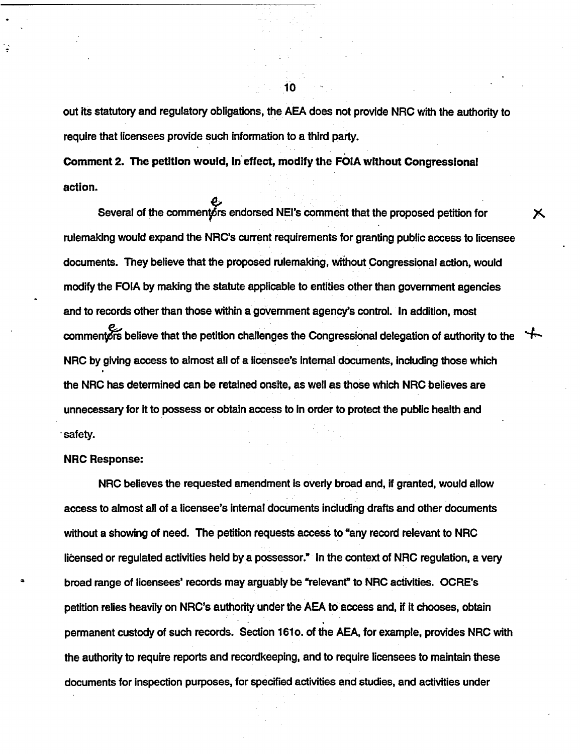out its statutory and regulatory obligations, the AEA does not provide NRC with the authority to require that licensees provide such information to a third party.

Х

Comment **2.** The petition **would, in effect, modify the FOIA without Congressional** action.

Several of the commentors endorsed NEI's comment that the proposed petition for rulemaking would expand the NRC's current requirements for granting public access to licensee documents. They believe that the proposed rulemaking, without Congressional action, would modify the FOIA by making the statute applicable to entities other than government agencies and to records other than those within a government agency's control. In addition, most commentors believe that the petition challenges the Congressional delegation of authority to the NRC by giving access to almost all of a licensee's internal documents, including those which the NRC has determined can be retained onsite, as well as those which NRC believes are unnecessary for it to possess or obtain access to In order to protect the public health and safety.

#### NRC Response:

NRC believes the requested amendment Is overly broad and, if granted, would allow access to almost all of a licensee's Internal documents including drafts and other documents without a showing of need. The petition requests access to "any record relevant to NRC licensed or regulated activities held by a possessor." In the context of NRC regulation, a very broad range of licensees' records may arguably be "relevant' to NRC activities. OCRE's petition relies heavily on NRC's authority under the AEA to access and, if It chooses, obtain permanent custody of such records. Section 1610. of the AEA, for example, provides NRC with the authority to require reports and recordkeeping, and to require licensees to maintain these documents for inspection purposes, for specified activities and studies, and activities under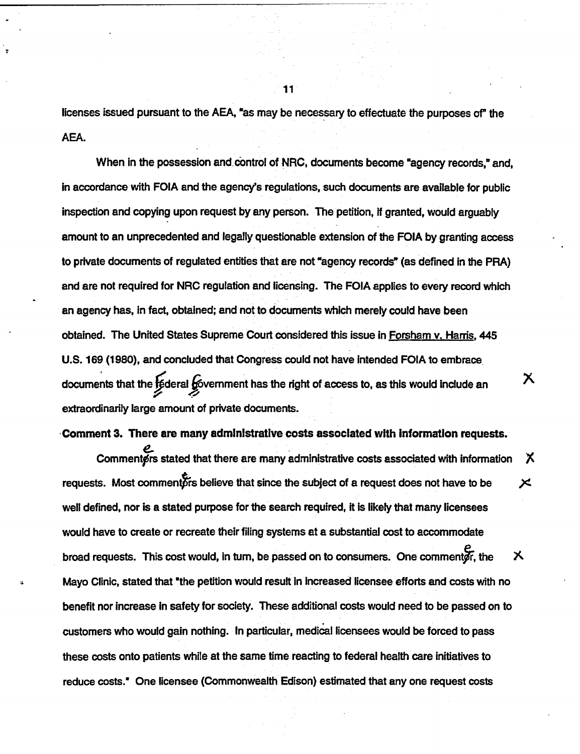licenses issued pursuant to the AEA, "as may be necessary to effectuate the purposes of" the AEA.

When in the possession and control of NRC, documents become "agency records," and, in accordance with FOIA and the agency's regulations, such documents are available for public inspection and copying upon request by any person. The petition, If granted, would arguably amount to an unprecedented and legally questionable extension of the FOIA by granting access to private documents of regulated entities that are not "agency records" (as defined in the PRA) and are not required for NRC regulation and licensing. The FOIA applies to every record which an agency has, In fact, obtained; and not to documents which merely could have been obtained. The United States Supreme Court considered this issue in Forsham v. Harris, 445 U.S. 169 (1980), and concluded that Congress could not have Intended FOIA to embrace documents that the  $\epsilon$  deral  $\epsilon$  overnment has the right of access to, as this would include an extraordinarily large amount of private documents.

#### **Comment** 3. There are many administrative **costs** associated with Information requests.

Χ

Comment~rs stated that there are many administrative costs associated with information **X** requests. Most commenters believe that since the subject of a request does not have to be  $\times$ well defined, nor is a stated purpose for the search required, it is likely that many licensees would have to create or recreate their filing systems at a substantial cost to accommodate broad requests. This cost would, in turn, be passed on to consumers. One comment  $\vec{F}$ , the  $\times$ Mayo Clinic, stated that "the petition would result in increased licensee efforts and costs with no benefit nor increase In safety for society. These additional costs would need to be passed on to customers who would gain nothing. In particular, medical licensees would be forced to pass these costs onto patients while at the same time reacting to federal health care initiatives to reduce costs.' One licensee (Commonwealth Edison) estimated that any one request costs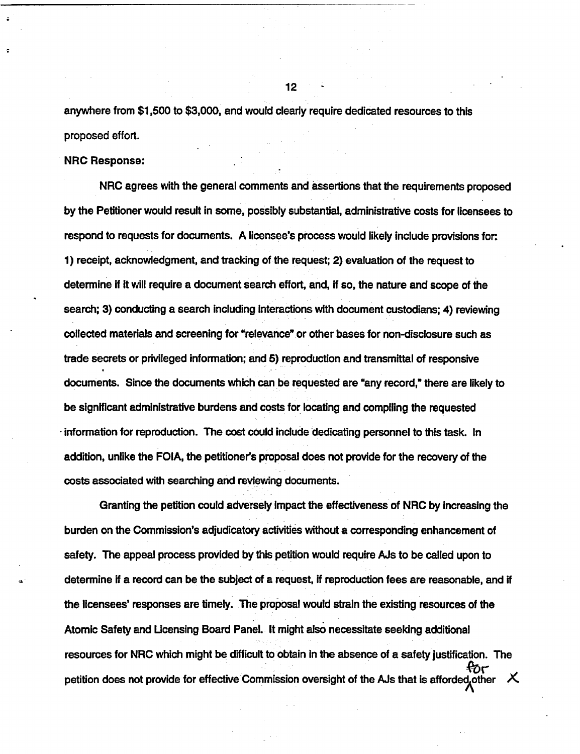anywhere from \$1,500 to \$3,000, and would clearly require dedicated resources to this proposed effort.

#### NRC Response:

NRC agrees with the general comments and assertions that the requirements proposed by the Petitioner would result in some, possibly substantial, administrative costs for licensees to respond to requests for documents. A licensee's process would likely include provisions for: 1) receipt, acknowledgment, and tracking of the request; 2) evaluation of the request to determine if It will require a document search effort, and, If so, the nature and scope of the search; 3) conducting a search including Interactions with document custodians; 4) reviewing collected materials and screening for "relevance" or other bases for non-disclosure such as trade secrets or privileged information; and 5) reproduction and transmittal of responsive documents. Since the documents which can be requested are "any record," there are likely to be significant administrative burdens and costs for locating and compiling the requested information for reproduction. The cost could Include dedicating personnel to this task. In addition, unlike the FOIA, the petitioner's proposal does not provide for the recovery of the costs associated with searching and reviewing documents.

Granting the petition could adversely Impact the effectiveness of NRC by increasing the burden on the Commission's adjudicatory activities without a corresponding enhancement of safety. The appeal process provided by this petition would require AJs to be called upon to determine if a record can be the subject of a request, if reproduction fees are reasonable, and if the licensees' responses are timely. The proposal would strain the existing resources of the Atomic Safety and Ucensing Board Panel. It might also necessitate seeking additional resources for NRC which might be difficult to obtain In the absence of a safety justification. The ಳುಗ petition does not provide for effective Commission oversight of the AJs that is afforded other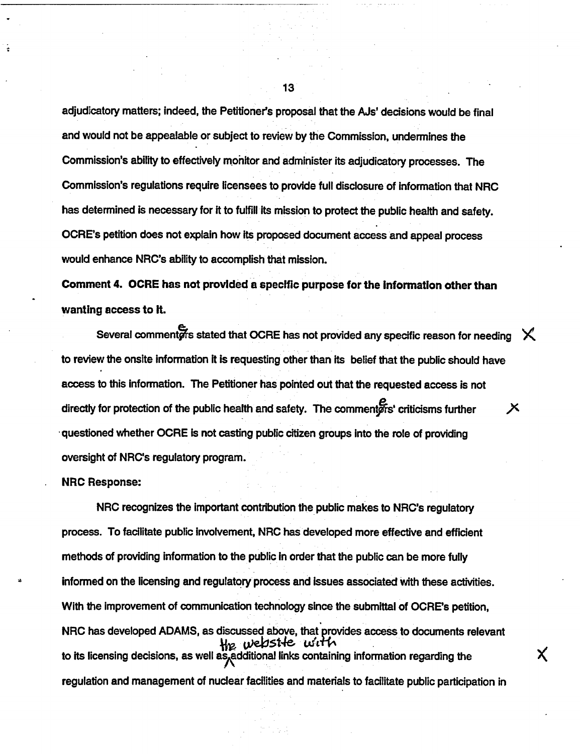adjudicatory matters; Indeed, the Petitioner's proposal that the AJs' decisions would be final and would not be appealable or subject to review by the Commission, undermines the Commission's ability to effectively monitor and administer its adjudicatory processes. The Commission's regulations require licensees to provide full disclosure of information that NRC has determined is necessary for it to fulfill its mission to protect the public health and safety. OCRE's petition does not explain how its proposed document access and appeal process would enhance NRC's ability to accomplish that mission.

Comment 4. OCRE has not provided a specific purpose for the Information other than wanting access to **it.**

Several commenters stated that OCRE has not provided any specific reason for needing  $\chi$ . to review the onsite information it is requesting other than its belief that the public should have access to this Information. The Petitioner has pointed out that the requested access is not directly for protection of the public health and safety. The commenters' criticisms further  $X$ -questioned whether OCRE is not casting public citizen groups into the role of providing oversight of NRC's regulatory program.

#### NRC Response:

NRC recognizes the important contribution the public makes to NRC's regulatory process. To facilitate public Involvement, NRC has developed more effective and efficient methods of providing information to the public in order that the public can be more fully informed on the licensing and regulatory process and Issues associated with these activities. With the improvement of communication technology since the submittal of OCRE's petition, NRC has developed ADAMS, as discussed above, that provides access to documents relevant *Hig. website with* to its licensing decisions, as well as additional links containing information regarding the regulation and management of nuclear facilities and materials to facilitate public participation in

Χ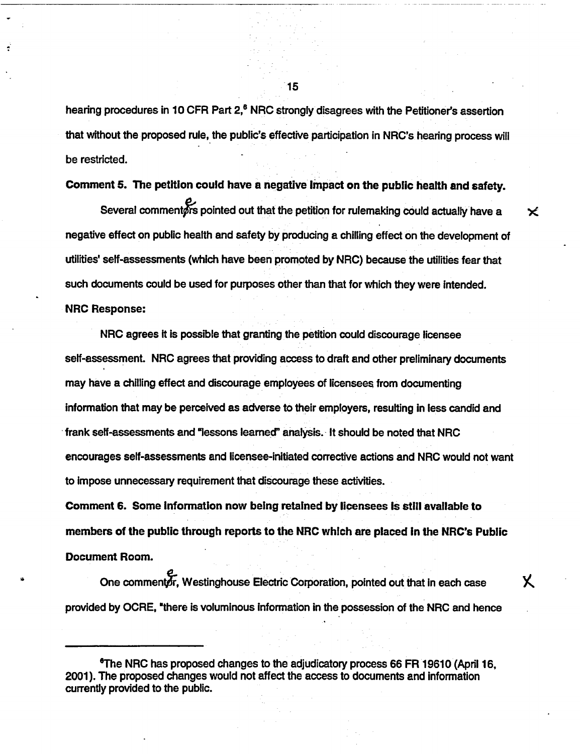hearing procedures in 10 CFR Part 2,<sup>6</sup> NRC strongly disagrees with the Petitioner's assertion that without the proposed rule, the public's effective participation in NRC's hearing process will be restricted.

Comment **5.** The petition could have a negative Impact on the public health and safety.

 $\boldsymbol{\times}$ 

Χ.

Several commenters pointed out that the petition for rulemaking could actually have a negative effect on public health and safety by producing a chilling effect on the development of utilities' self-assessments (which have been promoted by NRC) because the utilities fear that such documents could be used for purposes other than that for which they were intended. NRC Response:

NRC agrees It is possible that granting the petition could discourage licensee self-assessment. NRC agrees that providing access to draft and other preliminary documents may have a chilling effect and discourage employees of licensees from documenting information that may be perceived as adverse to their employers, resulting in less candid and frank self-assessments and 'lessons learned" analysis. It should be noted that NRC encourages self-assessments and licensee-initiated corrective actions and NRC would not want to impose unnecessary requirement that discourage these activities.

Comment 6. Some Information now being retained by licensees Is still available to members of the public through reports to the NRC which are placed In the NRC's Public Document Room.

One commentor, Westinghouse Electric Corporation, pointed out that in each case provided by OCRE, "there is voluminous information in the possession of the NRC and hence

"The NRC has proposed changes to the adjudicatory process 66 FR 19610 (April 16, 2001). The proposed changes would not affect the access to documents and information currently provided to the public.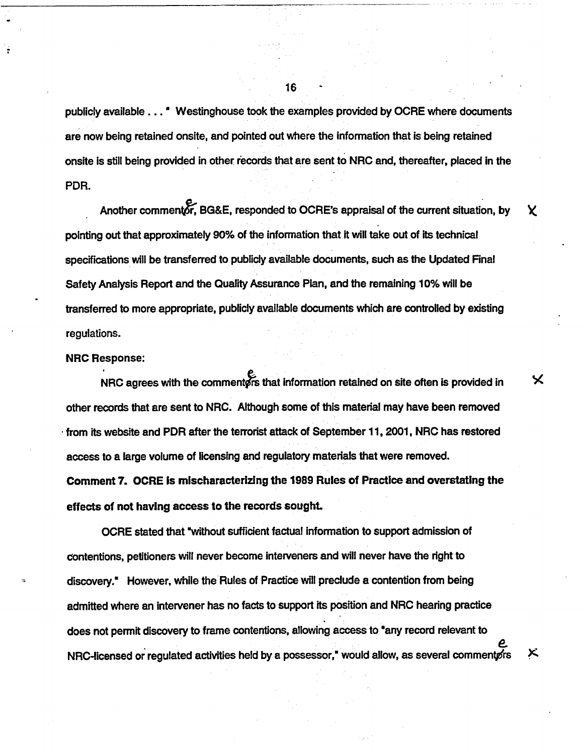publicly available... Westinghouse took the examples provided by OCRE where documents are now being retained onsite, and pointed out where the information that is being retained onsite is still being provided in other records that are sent to NRC and, thereafter, placed in the PDR.

Another commentor, BG&E, responded to OCRE's appraisal of the current situation, by  $\chi$ pointing out that approximately 90% of the information that It will take out of its technical specifications will be transferred to publicly available documents, such as the Updated Final Safety Analysis Report and the Quality Assurance Plan, and the remaining 10% will be transferred to more appropriate, publicly available documents which are controlled by existing regulations.

#### NRC Response:

NRC agrees with the commenters that information retained on site often is provided in  $\times$ other records that are sent to NRC. Although some of this material may have been removed from its website and PDR after the terrorist attack of September 11, 2001, NRC has restored access to a large volume of licensing and regulatory materials that were removed.

Comment 7. OCRE is mischaracterizing the 1989 Rules of Practice and overstating the effects of not having access to the records sought

OCRE stated that without sufficient factual Information to support admission of contentions, petitioners will never become interveners and will never have the right to discovery However, while the Rules of Practice will preclude a contention from being admitted where an intervener has no facts to support its position and NRC hearing practice does not permit discovery to frame contentions, allowing access to "any record relevant to NRC-licensed or regulated activities held by a possessor," would allow, as several commenters

メ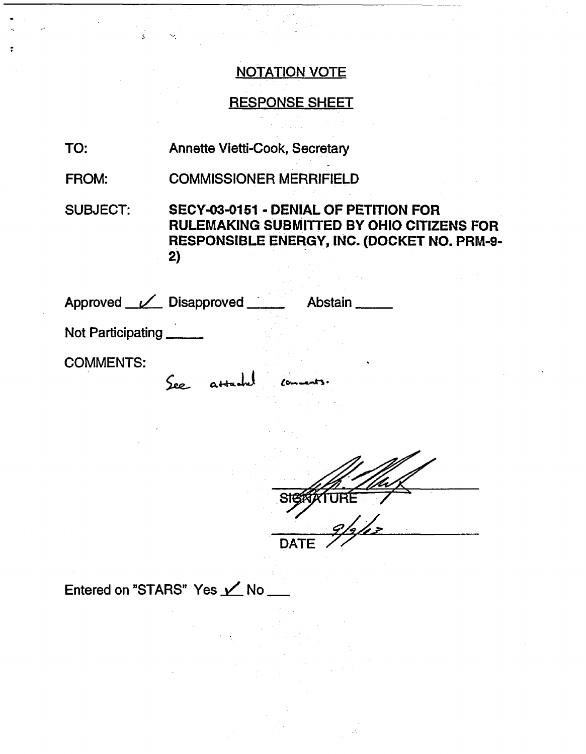### NOTATION VOTE

### RESPONSE SHEET

- TO: Annette Vietti-Cook, Secretary
- FROM: COMMISSIONER MERRIFIELD

SUBJECT: SECY-03-0151 - DENIAL OF PETITION FOR RULEMAKING SUBMITTED BY OHIO CITIZENS FOR RESPONSIBLE ENERGY, INC. (DOCKET NO. PRM-9- 2)

| Approved <u>V</u> Disapproved | Abstain.    |
|-------------------------------|-------------|
| Not Participating             |             |
| <b>COMMENTS:</b>              |             |
| See atta                      |             |
|                               |             |
|                               |             |
|                               |             |
|                               |             |
|                               | ΄9.         |
|                               | <b>DATE</b> |
|                               |             |

Entered on "STARS" Yes **Y** No